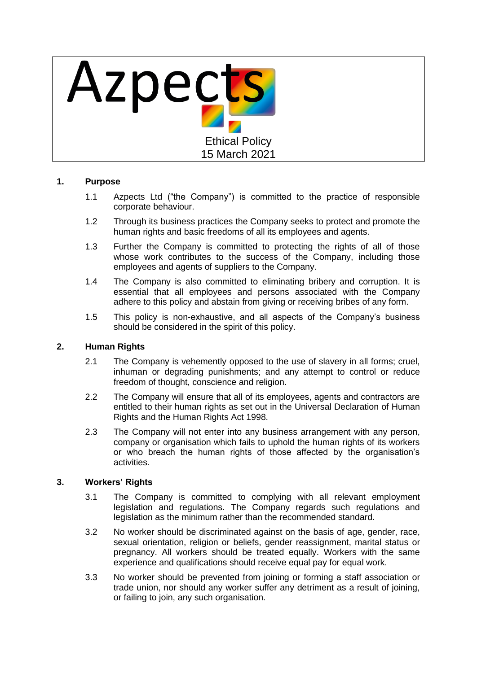

# **1. Purpose**

- 1.1 Azpects Ltd ("the Company") is committed to the practice of responsible corporate behaviour.
- 1.2 Through its business practices the Company seeks to protect and promote the human rights and basic freedoms of all its employees and agents.
- 1.3 Further the Company is committed to protecting the rights of all of those whose work contributes to the success of the Company, including those employees and agents of suppliers to the Company.
- 1.4 The Company is also committed to eliminating bribery and corruption. It is essential that all employees and persons associated with the Company adhere to this policy and abstain from giving or receiving bribes of any form.
- 1.5 This policy is non-exhaustive, and all aspects of the Company's business should be considered in the spirit of this policy.

## **2. Human Rights**

- 2.1 The Company is vehemently opposed to the use of slavery in all forms; cruel, inhuman or degrading punishments; and any attempt to control or reduce freedom of thought, conscience and religion.
- 2.2 The Company will ensure that all of its employees, agents and contractors are entitled to their human rights as set out in the Universal Declaration of Human Rights and the Human Rights Act 1998.
- 2.3 The Company will not enter into any business arrangement with any person, company or organisation which fails to uphold the human rights of its workers or who breach the human rights of those affected by the organisation's activities.

## **3. Workers' Rights**

- 3.1 The Company is committed to complying with all relevant employment legislation and regulations. The Company regards such regulations and legislation as the minimum rather than the recommended standard.
- 3.2 No worker should be discriminated against on the basis of age, gender, race, sexual orientation, religion or beliefs, gender reassignment, marital status or pregnancy. All workers should be treated equally. Workers with the same experience and qualifications should receive equal pay for equal work.
- 3.3 No worker should be prevented from joining or forming a staff association or trade union, nor should any worker suffer any detriment as a result of joining, or failing to join, any such organisation.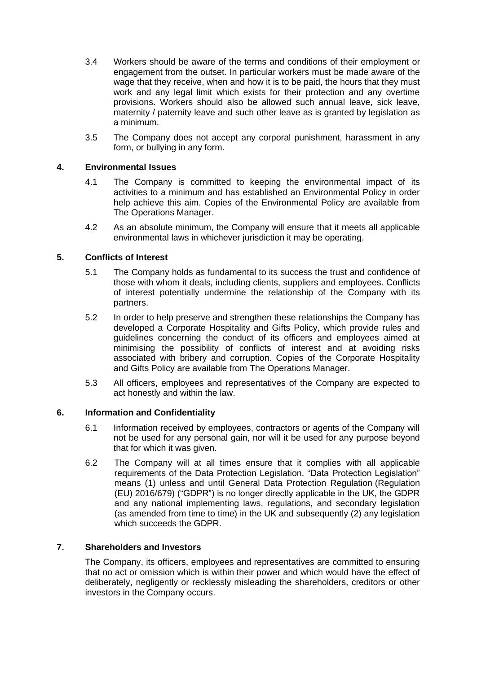- 3.4 Workers should be aware of the terms and conditions of their employment or engagement from the outset. In particular workers must be made aware of the wage that they receive, when and how it is to be paid, the hours that they must work and any legal limit which exists for their protection and any overtime provisions. Workers should also be allowed such annual leave, sick leave, maternity / paternity leave and such other leave as is granted by legislation as a minimum.
- 3.5 The Company does not accept any corporal punishment, harassment in any form, or bullying in any form.

## **4. Environmental Issues**

- 4.1 The Company is committed to keeping the environmental impact of its activities to a minimum and has established an Environmental Policy in order help achieve this aim. Copies of the Environmental Policy are available from The Operations Manager.
- 4.2 As an absolute minimum, the Company will ensure that it meets all applicable environmental laws in whichever jurisdiction it may be operating.

#### **5. Conflicts of Interest**

- 5.1 The Company holds as fundamental to its success the trust and confidence of those with whom it deals, including clients, suppliers and employees. Conflicts of interest potentially undermine the relationship of the Company with its partners.
- 5.2 In order to help preserve and strengthen these relationships the Company has developed a Corporate Hospitality and Gifts Policy, which provide rules and guidelines concerning the conduct of its officers and employees aimed at minimising the possibility of conflicts of interest and at avoiding risks associated with bribery and corruption. Copies of the Corporate Hospitality and Gifts Policy are available from The Operations Manager.
- 5.3 All officers, employees and representatives of the Company are expected to act honestly and within the law.

## **6. Information and Confidentiality**

- 6.1 Information received by employees, contractors or agents of the Company will not be used for any personal gain, nor will it be used for any purpose beyond that for which it was given.
- 6.2 The Company will at all times ensure that it complies with all applicable requirements of the Data Protection Legislation. "Data Protection Legislation" means (1) unless and until General Data Protection Regulation (Regulation (EU) 2016/679) ("GDPR") is no longer directly applicable in the UK, the GDPR and any national implementing laws, regulations, and secondary legislation (as amended from time to time) in the UK and subsequently (2) any legislation which succeeds the GDPR.

# **7. Shareholders and Investors**

The Company, its officers, employees and representatives are committed to ensuring that no act or omission which is within their power and which would have the effect of deliberately, negligently or recklessly misleading the shareholders, creditors or other investors in the Company occurs.